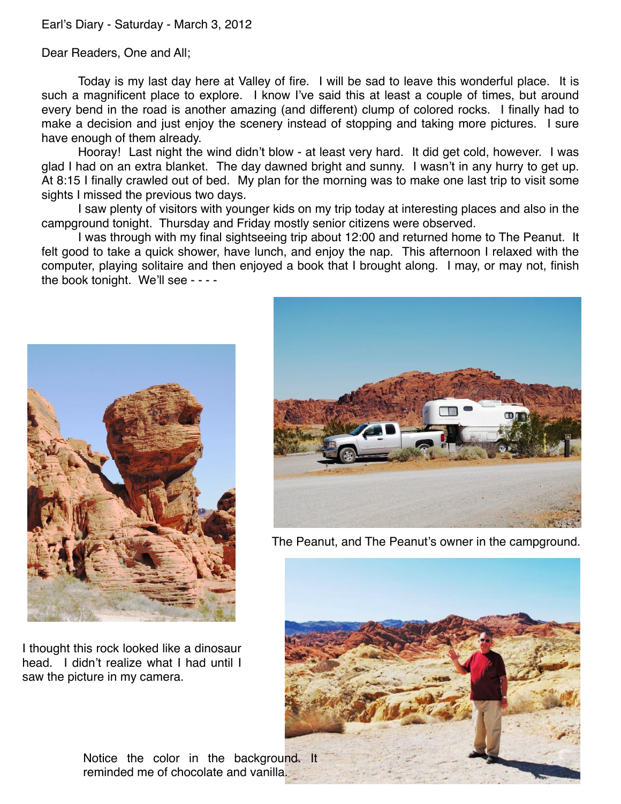## Earl's Diary - Saturday - March 3, 2012

Dear Readers, One and All;

Today is my last day here at Valley of fire. I will be sad to leave this wonderful place. It is such a magnificent place to explore. I know I've said this at least a couple of times, but around every bend in the road is another amazing (and different) clump of colored rocks. I finally had to make a decision and just enjoy the scenery instead of stopping and taking more pictures. I sure have enough of them already.

Hooray! Last night the wind didn't blow - at least very hard. It did get cold, however. I was glad I had on an extra blanket. The day dawned bright and sunny. I wasn't in any hurry to get up. At 8:15 I finally crawled out of bed. My plan for the morning was to make one last trip to visit some sights I missed the previous two days.

I saw plenty of visitors with younger kids on my trip today at interesting places and also in the campground tonight. Thursday and Friday mostly senior citizens were observed.

I was through with my final sightseeing trip about 12:00 and returned home to The Peanut. It felt good to take a quick shower, have lunch, and enjoy the nap. This afternoon I relaxed with the computer, playing solitaire and then enjoyed a book that I brought along. I may, or may not, finish the book tonight. We'll see - - - -



I thought this rock looked like a dinosaur head. I didn't realize what I had until I saw the picture in my camera.



The Peanut, and The Peanut's owner in the campground.



Notice the color in the background. It reminded me of chocolate and vanilla.